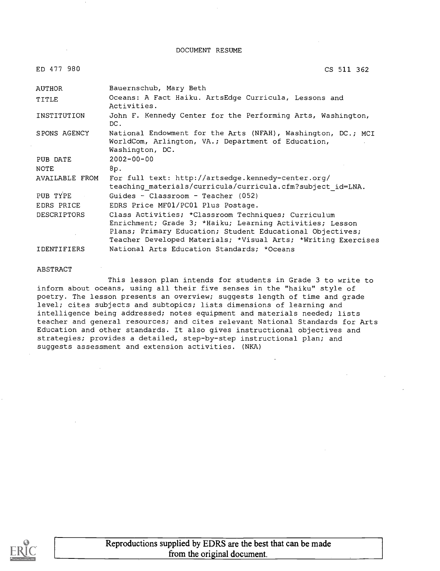#### DOCUMENT RESUME

| ED 477 | -980 |
|--------|------|
|        |      |

CS 511 362

| AUTHOR             | Bauernschub, Mary Beth                                                                                                                                                                                                                        |
|--------------------|-----------------------------------------------------------------------------------------------------------------------------------------------------------------------------------------------------------------------------------------------|
| TITLE              | Oceans: A Fact Haiku. ArtsEdge Curricula, Lessons and<br>Activities.                                                                                                                                                                          |
| INSTITUTION        | John F. Kennedy Center for the Performing Arts, Washington,<br>DC.                                                                                                                                                                            |
| SPONS AGENCY       | National Endowment for the Arts (NFAH), Washington, DC.; MCI<br>WorldCom, Arlington, VA.; Department of Education,<br>Washington, DC.                                                                                                         |
| PUB DATE           | $2002 - 00 - 00$                                                                                                                                                                                                                              |
| NOTE               | 8p.                                                                                                                                                                                                                                           |
| AVAILABLE FROM     | For full text: http://artsedge.kennedy-center.org/<br>teaching materials/curricula/curricula.cfm?subject id=LNA.                                                                                                                              |
| PUB TYPE           | Guides - Classroom - Teacher $(052)$                                                                                                                                                                                                          |
| EDRS PRICE         | EDRS Price MF01/PC01 Plus Postage.                                                                                                                                                                                                            |
| <b>DESCRIPTORS</b> | Class Activities; *Classroom Techniques; Curriculum<br>Enrichment; Grade 3; *Haiku; Learning Activities; Lesson<br>Plans; Primary Education; Student Educational Objectives;<br>Teacher Developed Materials; *Visual Arts; *Writing Exercises |
| IDENTIFIERS        | National Arts Education Standards; *Oceans                                                                                                                                                                                                    |

#### ABSTRACT

This lesson plan intends for students in Grade 3 to write to inform about oceans, using all their five senses in the "haiku" style of poetry. The lesson presents an overview; suggests length of time and grade level; cites subjects and subtopics; lists dimensions of learning and intelligence being addressed; notes equipment and materials needed; lists teacher and general resources; and cites relevant National Standards for Arts Education and other standards. It also gives instructional objectives and strategies; provides a detailed, step-by-step instructional plan; and suggests assessment and extension activities. (NKA)

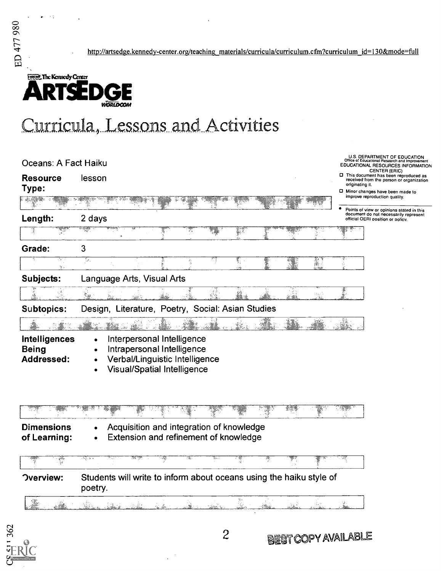http://artsedge.kennedy-center.org/teaching\_materials/curricula/curriculum.cfm?curriculum\_id=130&mode=full



# Curricula, Lessons and Activities

| Oceans: A Fact Haiku                               | U.S. DEPARTMENT OF EDUCATION<br>Office of Educational Research and Improvement<br>EDUCATIONAL RESOURCES INFORMATION<br>CENTER (ERIC)                 |
|----------------------------------------------------|------------------------------------------------------------------------------------------------------------------------------------------------------|
| <b>Resource</b><br>Type:                           | □ This document has been reproduced as<br>lesson<br>received from the person or organization<br>originating it.<br>D Minor changes have been made to |
|                                                    | improve reproduction quality.<br>Points of view or opinions stated in this                                                                           |
| Length:                                            | document do not necessarily represent<br>2 days<br>official OERI position or policy.                                                                 |
| Ţ                                                  | X<br>ne<br>K                                                                                                                                         |
| Grade:                                             | 3                                                                                                                                                    |
| a.                                                 | To,<br>F.<br>R.                                                                                                                                      |
| Subjects:                                          | Language Arts, Visual Arts                                                                                                                           |
|                                                    | 16.<br>x an                                                                                                                                          |
| Subtopics:                                         | Design, Literature, Poetry, Social: Asian Studies                                                                                                    |
|                                                    |                                                                                                                                                      |
| <b>Intelligences</b><br><b>Being</b><br>Addressed: | Interpersonal Intelligence<br>Intrapersonal Intelligence<br>Verbal/Linguistic Intelligence<br><b>Visual/Spatial Intelligence</b>                     |
|                                                    |                                                                                                                                                      |
| <b>Dimensions</b><br>of Learning:                  | Acquisition and integration of knowledge<br>Extension and refinement of knowledge                                                                    |
|                                                    | ফ্. ) ∍                                                                                                                                              |
| <b>Overview:</b>                                   | Students will write to inform about oceans using the haiku style of<br>poetry.                                                                       |

i<br>Tito gia<br>Vite a dh i<br>Lidan

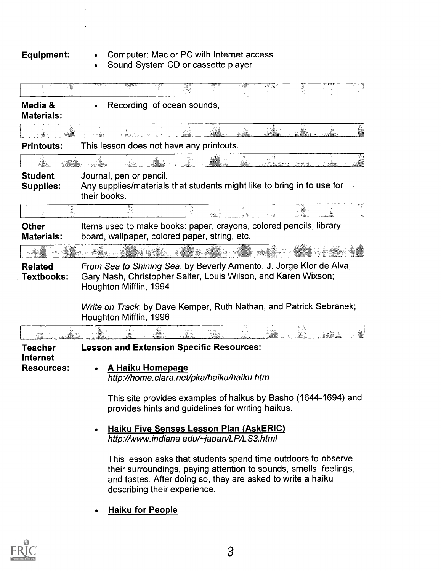$\ddot{\phantom{a}}$ 

 $\overline{1}$ 

### Equipment: Computer: Mac or PC with Internet access

Sound System CD or cassette player

|                                    | $\mathcal{R}=\mathcal{R}_{\mathcal{R}}\mathcal{A}$                                                                                                                                                                                |
|------------------------------------|-----------------------------------------------------------------------------------------------------------------------------------------------------------------------------------------------------------------------------------|
| Media &<br><b>Materials:</b>       | Recording of ocean sounds,                                                                                                                                                                                                        |
|                                    |                                                                                                                                                                                                                                   |
| <b>Printouts:</b>                  | This lesson does not have any printouts.                                                                                                                                                                                          |
|                                    |                                                                                                                                                                                                                                   |
| <b>Student</b><br><b>Supplies:</b> | Journal, pen or pencil.<br>Any supplies/materials that students might like to bring in to use for<br>their books.                                                                                                                 |
|                                    | 磁                                                                                                                                                                                                                                 |
| <b>Other</b><br><b>Materials:</b>  | Items used to make books: paper, crayons, colored pencils, library<br>board, wallpaper, colored paper, string, etc.                                                                                                               |
|                                    |                                                                                                                                                                                                                                   |
|                                    | Write on Track; by Dave Kemper, Ruth Nathan, and Patrick Sebranek;<br>Houghton Mifflin, 1996                                                                                                                                      |
|                                    |                                                                                                                                                                                                                                   |
| Teacher<br>Internet                | <b>Lesson and Extension Specific Resources:</b>                                                                                                                                                                                   |
| <b>Resources:</b>                  | A Haiku Homepage<br>http://home.clara.net/pka/haiku/haiku.htm                                                                                                                                                                     |
|                                    | This site provides examples of haikus by Basho (1644-1694) and<br>provides hints and guidelines for writing haikus.                                                                                                               |
|                                    | Haiku Five Senses Lesson Plan (AskERIC)<br>http://www.indiana.edu/~japan/LP/LS3.html                                                                                                                                              |
|                                    | This lesson asks that students spend time outdoors to observe<br>their surroundings, paying attention to sounds, smells, feelings,<br>and tastes. After doing so, they are asked to write a haiku<br>describing their experience. |
|                                    | Haiku for People                                                                                                                                                                                                                  |

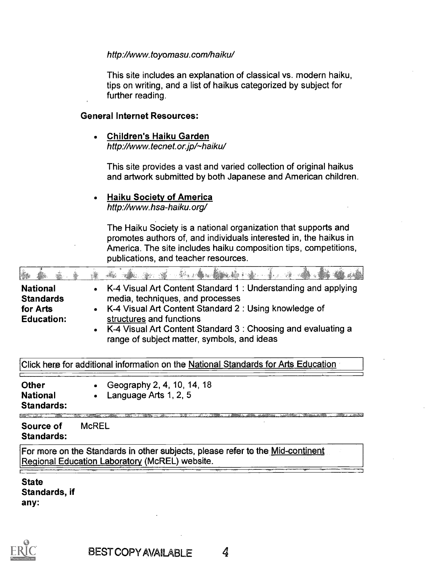#### http://www.toyomasu.com/haiku/

This site includes an explanation of classical vs. modern haiku, tips on writing, and a list of haikus categorized by subject for further reading.

#### General Internet Resources:

Children's Haiku Garden  $\bullet$ http://www.tecnet.or.jp/~haiku/

This site provides a vast and varied collection of original haikus and artwork submitted by both Japanese and American children.

#### Haiku Society of America

http://www.hsa-haiku.org/

The Haiku Society is a national organization that supports and promotes authors of, and individuals interested in, the haikus in America. The site includes haiku composition tips, competitions, publications, and teacher resources.

| à.                                                                                                                               |                                                                                                                                                                                                                                                                                                                     |  |  |  |  |
|----------------------------------------------------------------------------------------------------------------------------------|---------------------------------------------------------------------------------------------------------------------------------------------------------------------------------------------------------------------------------------------------------------------------------------------------------------------|--|--|--|--|
| <b>National</b><br><b>Standards</b><br>for Arts<br><b>Education:</b>                                                             | K-4 Visual Art Content Standard 1: Understanding and applying<br>media, techniques, and processes<br>K-4 Visual Art Content Standard 2: Using knowledge of<br>$\bullet$<br>structures and functions<br>K-4 Visual Art Content Standard 3 : Choosing and evaluating a<br>range of subject matter, symbols, and ideas |  |  |  |  |
|                                                                                                                                  | Click here for addifional information on the National Standards for Arts Education                                                                                                                                                                                                                                  |  |  |  |  |
| <b>Other</b><br><b>National</b><br><b>Standards:</b>                                                                             | Geography 2, 4, 10, 14, 18<br>Language Arts 1, 2, 5                                                                                                                                                                                                                                                                 |  |  |  |  |
| Source of<br><b>Standards:</b>                                                                                                   | <b>McREL</b>                                                                                                                                                                                                                                                                                                        |  |  |  |  |
| For more on the Standards in other subjects, please refer to the Mid-continent<br>Regional Education Laboratory (McREL) website. |                                                                                                                                                                                                                                                                                                                     |  |  |  |  |
| <b>State</b><br>Standards, if<br>any:                                                                                            |                                                                                                                                                                                                                                                                                                                     |  |  |  |  |

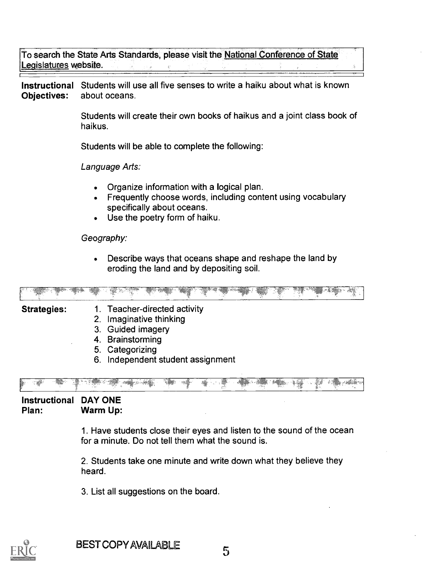To search the State Arts Standards, please visit the National Conference of State Legislatures website.

Instructional Students will use all five senses to write a haiku about what is known Objectives: about oceans.

> Students will create their own books of haikus and a joint class book of haikus.

Students will be able to complete the following:

Language Arts:

- Organize information with a logical plan.
- Frequently choose words, including content using vocabulary specifically about oceans.
- Use the poetry form of haiku.

### Geography:

Describe ways that oceans shape and reshape the land by  $\bullet$ eroding the land and by depositing soil.

| ಲ್ ಕನ್ನ<br>A MARINE CONTRACTOR COMMUNICATION |    | $\label{eq:4} \frac{1}{2}\sum_{i=1}^{2}\sum_{i=1}^{2}\sum_{j=1}^{2}\sum_{j=1}^{2}\sum_{j=1}^{2}\sum_{j=1}^{2}\sum_{j=1}^{2}\sum_{j=1}^{2}\sum_{j=1}^{2}\sum_{j=1}^{2}\sum_{j=1}^{2}\sum_{j=1}^{2}\sum_{j=1}^{2}\sum_{j=1}^{2}\sum_{j=1}^{2}\sum_{j=1}^{2}\sum_{j=1}^{2}\sum_{j=1}^{2}\sum_{j=1}^{2}\sum_{j=1}^{2}\sum_{j=1}^{2}\sum_{j=1}^{2}\sum_{j=1}^{2$ |  |  |  |  |
|----------------------------------------------|----|-------------------------------------------------------------------------------------------------------------------------------------------------------------------------------------------------------------------------------------------------------------------------------------------------------------------------------------------------------------|--|--|--|--|
| <b>Strategies:</b>                           | 5. | <b>Teacher-directed activity</b><br>Imaginative thinking<br>3. Guided imagery<br>4. Brainstorming<br>Categorizing                                                                                                                                                                                                                                           |  |  |  |  |

6. Independent student assignment



Instructional DAY ONE Plan: Warm Up:

> 1. Have students close their eyes and listen to the sound of the ocean for a minute. Do not tell them what the sound is.

2. Students take one minute and write down what they believe they heard.

3. List all suggestions on the board.

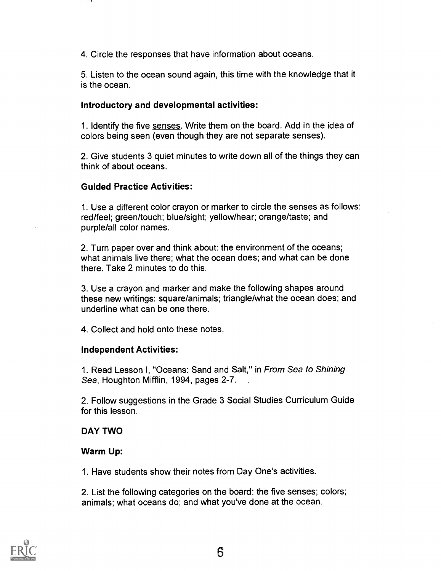4. Circle the responses that have information about oceans.

5. Listen to the ocean sound again, this time with the knowledge that it is the ocean.

#### Introductory and developmental activities:

1. Identify the five senses. Write them on the board. Add in the idea of colors being seen (even though they are not separate senses).

2. Give students 3 quiet minutes to write down all of the things they can think of about oceans.

#### Guided Practice Activities:

1. Use a different color crayon or marker to circle the senses as follows: red/feel; green/touch; blue/sight; yellow/hear; orange/taste; and purple/all color names.

2. Turn paper over and think about: the environment of the oceans; what animals live there; what the ocean does; and what can be done there. Take 2 minutes to do this.

3. Use a crayon and marker and make the following shapes around these new writings: square/animals; triangle/what the ocean does; and underline what can be one there.

4. Collect and hold onto these notes.

#### Independent Activities:

1. Read Lesson I, "Oceans: Sand and Salt," in From Sea to Shining Sea, Houghton Mifflin, 1994, pages 2-7.

2. Follow suggestions in the Grade 3 Social Studies Curriculum Guide for this lesson.

#### DAY TWO

#### Warm Up:

1. Have students show their notes from Day One's activities.

2. List the following categories on the board: the five senses; colors; animals; what oceans do; and what you've done at the ocean.

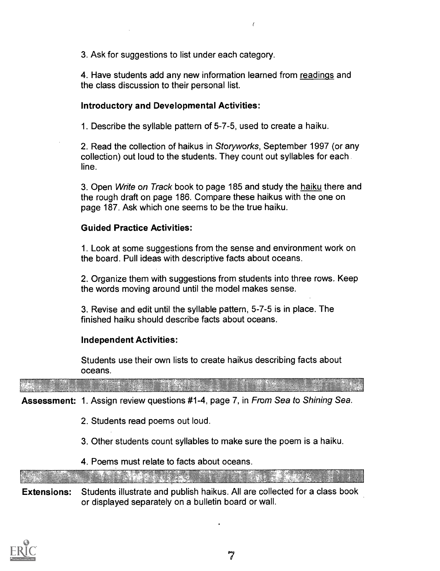3. Ask for suggestions to list under each category.

4. Have students add any new information learned from readings and the class discussion to their personal list.

 $\overline{1}$ 

### Introductory and Developmental Activities:

1. Describe the syllable pattern of 5-7-5, used to create a haiku.

2. Read the collection of haikus in Storyworks, September 1997 (or any collection) out loud to the students. They count out syllables for each line.

3. Open Write on Track book to page 185 and study the haiku there and the rough draft on page 186. Compare these haikus with the one on page 187. Ask which one seems to be the true haiku.

#### Guided Practice Activities:

1. Look at some suggestions from the sense and environment work on the board. Pull ideas with descriptive facts about oceans.

2. Organize them with suggestions from students into three rows. Keep the words moving around until the model makes sense.

3. Revise and edit until the syllable pattern, 5-7-5 is in place. The finished haiku should describe facts about oceans.

#### Independent Activities:

Students use their own lists to create haikus describing facts about oceans.

Assessment: 1. Assign review questions #1-4, page 7, in From Sea to Shining Sea.

- 2. Students read poems out loud.
- 3. Other students count syllables to make sure the poem is a haiku.
- 4. Poems must relate to facts about oceans.

Extensions: Students illustrate and publish haikus. All are collected for a class book or displayed separately on a bulletin board or wall.

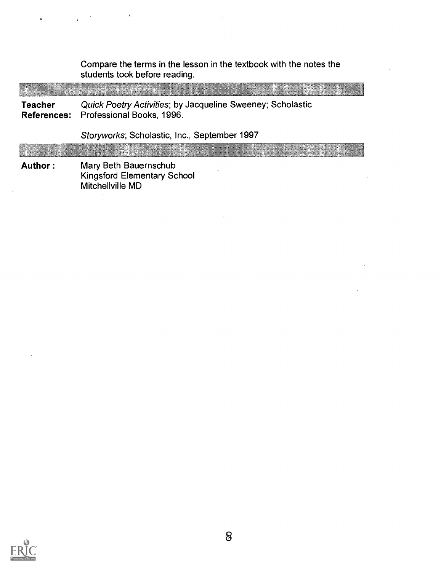Compare the terms in the lesson in the textbook with the notes the students took before reading.

- 3 ,. .-

Teacher Quick Poetry Activities; by Jacqueline Sweeney; Scholastic References: Professional Books, 1996.

Storyworks; Scholastic, Inc., September 1997

Author : Mary Beth Bauernschub Kingsford Elementary School Mitchellville MD